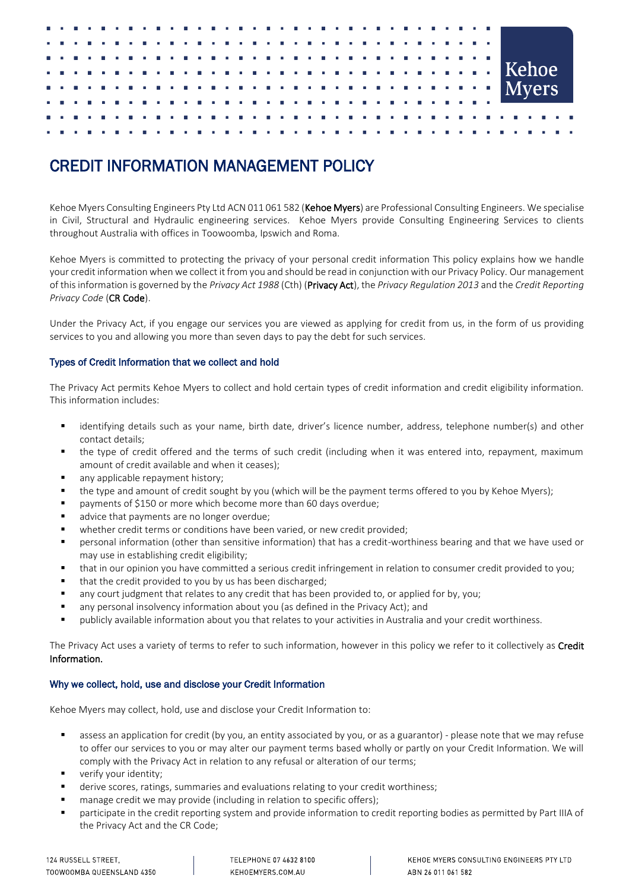# CREDIT INFORMATION MANAGEMENT POLICY

Kehoe Myers Consulting Engineers Pty Ltd ACN 011 061 582 (Kehoe Myers) are Professional Consulting Engineers. We specialise in Civil, Structural and Hydraulic engineering services. Kehoe Myers provide Consulting Engineering Services to clients throughout Australia with offices in Toowoomba, Ipswich and Roma.

Kehoe Myers is committed to protecting the privacy of your personal credit information This policy explains how we handle your credit information when we collect it from you and should be read in conjunction with our Privacy Policy. Our management of this information is governed by the *Privacy Act 1988* (Cth) (Privacy Act), the *Privacy Regulation 2013* and the *Credit Reporting Privacy Code* (CR Code).

Under the Privacy Act, if you engage our services you are viewed as applying for credit from us, in the form of us providing services to you and allowing you more than seven days to pay the debt for such services.

## Types of Credit Information that we collect and hold

The Privacy Act permits Kehoe Myers to collect and hold certain types of credit information and credit eligibility information. This information includes:

- " identifying details such as your name, birth date, driver's licence number, address, telephone number(s) and other contact details;
- the type of credit offered and the terms of such credit (including when it was entered into, repayment, maximum amount of credit available and when it ceases);
- any applicable repayment history;
- the type and amount of credit sought by you (which will be the payment terms offered to you by Kehoe Myers);
- payments of \$150 or more which become more than 60 days overdue;
- advice that payments are no longer overdue;
- whether credit terms or conditions have been varied, or new credit provided;
- personal information (other than sensitive information) that has a credit-worthiness bearing and that we have used or may use in establishing credit eligibility;
- that in our opinion you have committed a serious credit infringement in relation to consumer credit provided to you;
- that the credit provided to you by us has been discharged;
- any court judgment that relates to any credit that has been provided to, or applied for by, you;
- any personal insolvency information about you (as defined in the Privacy Act); and
- publicly available information about you that relates to your activities in Australia and your credit worthiness.

The Privacy Act uses a variety of terms to refer to such information, however in this policy we refer to it collectively as Credit Information.

# Why we collect, hold, use and disclose your Credit Information

Kehoe Myers may collect, hold, use and disclose your Credit Information to:

- **Example 3** assess an application for credit (by you, an entity associated by you, or as a guarantor) please note that we may refuse to offer our services to you or may alter our payment terms based wholly or partly on your Credit Information. We will comply with the Privacy Act in relation to any refusal or alteration of our terms;
- verify your identity;
- **■** derive scores, ratings, summaries and evaluations relating to your credit worthiness;
- manage credit we may provide (including in relation to specific offers);
- participate in the credit reporting system and provide information to credit reporting bodies as permitted by Part IIIA of the Privacy Act and the CR Code;

TELEPHONE 07 4632 8100 KEHOEMYERS.COM.AU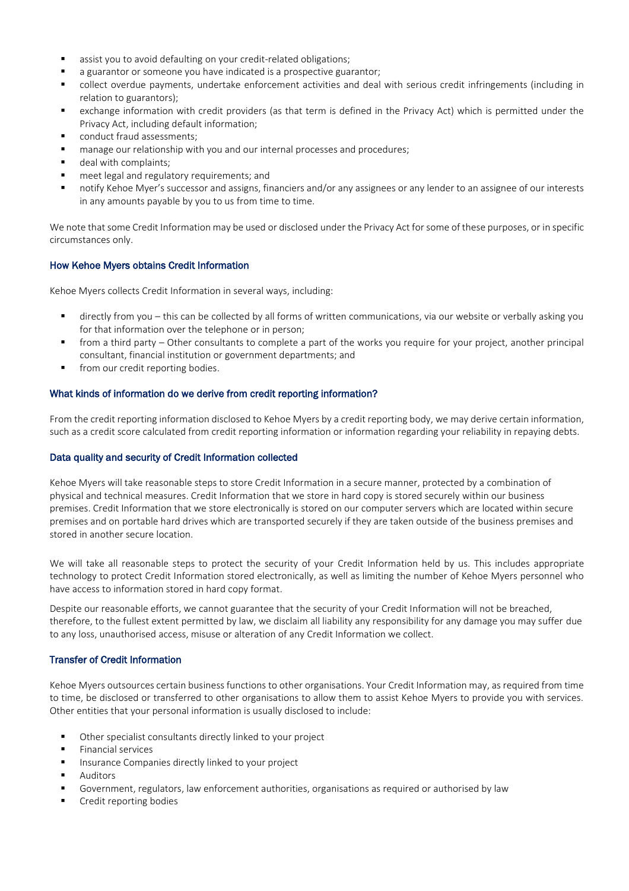- assist you to avoid defaulting on your credit-related obligations;
- a guarantor or someone you have indicated is a prospective guarantor;
- collect overdue payments, undertake enforcement activities and deal with serious credit infringements (including in relation to guarantors);
- exchange information with credit providers (as that term is defined in the Privacy Act) which is permitted under the Privacy Act, including default information;
- conduct fraud assessments;
- manage our relationship with you and our internal processes and procedures;
- deal with complaints;
- meet legal and regulatory requirements; and
- notify Kehoe Myer's successor and assigns, financiers and/or any assignees or any lender to an assignee of our interests in any amounts payable by you to us from time to time.

We note that some Credit Information may be used or disclosed under the Privacy Act for some of these purposes, or in specific circumstances only.

#### How Kehoe Myers obtains Credit Information

Kehoe Myers collects Credit Information in several ways, including:

- directly from you this can be collected by all forms of written communications, via our website or verbally asking you for that information over the telephone or in person;
- from a third party Other consultants to complete a part of the works you require for your project, another principal consultant, financial institution or government departments; and
- from our credit reporting bodies.

#### What kinds of information do we derive from credit reporting information?

From the credit reporting information disclosed to Kehoe Myers by a credit reporting body, we may derive certain information, such as a credit score calculated from credit reporting information or information regarding your reliability in repaying debts.

#### Data quality and security of Credit Information collected

Kehoe Myers will take reasonable steps to store Credit Information in a secure manner, protected by a combination of physical and technical measures. Credit Information that we store in hard copy is stored securely within our business premises. Credit Information that we store electronically is stored on our computer servers which are located within secure premises and on portable hard drives which are transported securely if they are taken outside of the business premises and stored in another secure location.

We will take all reasonable steps to protect the security of your Credit Information held by us. This includes appropriate technology to protect Credit Information stored electronically, as well as limiting the number of Kehoe Myers personnel who have access to information stored in hard copy format.

Despite our reasonable efforts, we cannot guarantee that the security of your Credit Information will not be breached, therefore, to the fullest extent permitted by law, we disclaim all liability any responsibility for any damage you may suffer due to any loss, unauthorised access, misuse or alteration of any Credit Information we collect.

### Transfer of Credit Information

Kehoe Myers outsources certain business functions to other organisations. Your Credit Information may, as required from time to time, be disclosed or transferred to other organisations to allow them to assist Kehoe Myers to provide you with services. Other entities that your personal information is usually disclosed to include:

- Other specialist consultants directly linked to your project
- Financial services
- Insurance Companies directly linked to your project
- **Auditors**
- Government, regulators, law enforcement authorities, organisations as required or authorised by law
- Credit reporting bodies